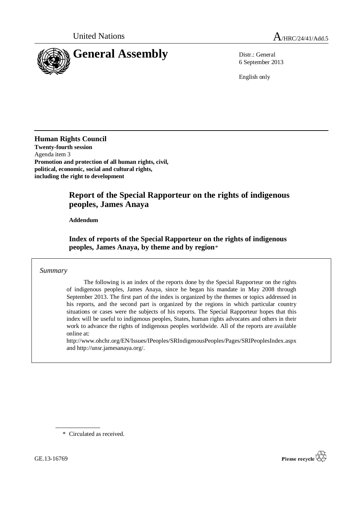

6 September 2013

English only

**Human Rights Council Twenty-fourth session** Agenda item 3 **Promotion and protection of all human rights, civil, political, economic, social and cultural rights, including the right to development**

# **Report of the Special Rapporteur on the rights of indigenous peoples, James Anaya**

**Addendum**

**Index of reports of the Special Rapporteur on the rights of indigenous peoples, James Anaya, by theme and by region**[\\*](#page-0-0)

*Summary*

The following is an index of the reports done by the Special Rapporteur on the rights of indigenous peoples, James Anaya, since he began his mandate in May 2008 through September 2013. The first part of the index is organized by the themes or topics addressed in his reports, and the second part is organized by the regions in which particular country situations or cases were the subjects of his reports. The Special Rapporteur hopes that this index will be useful to indigenous peoples, States, human rights advocates and others in their work to advance the rights of indigenous peoples worldwide. All of the reports are available online at:

<http://www.ohchr.org/EN/Issues/IPeoples/SRIndigenousPeoples/Pages/SRIPeoplesIndex.aspx> and [http://unsr.jamesanaya.org/.](http://unsr.jamesanaya.org/)

\* Circulated as received.

<span id="page-0-0"></span>GE.13-16769

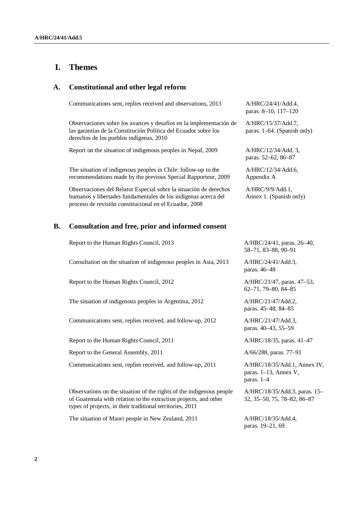## **I. Themes**

#### **A. Constitutional and other legal reform**

| Communications sent, replies received and observations, 2013                                                                                                                                  | A/HRC/24/41/Add.4,<br>paras. 8-10, 117-120           |
|-----------------------------------------------------------------------------------------------------------------------------------------------------------------------------------------------|------------------------------------------------------|
| Observaciones sobre los avances y desafíos en la implementación de<br>las garantías de la Constitución Política del Ecuador sobre los<br>derechos de los pueblos indígenas, 2010              | A/HRC/15/37/Add.7,<br>paras. $1-64$ . (Spanish only) |
| Report on the situation of indigenous peoples in Nepal, 2009                                                                                                                                  | $A/HRC/12/34/Add.$ 3.<br>paras. 52–62, 86–87         |
| The situation of indigenous peoples in Chile: follow-up to the<br>recommendations made by the previous Special Rapporteur, 2009                                                               | A/HRC/12/34/Add.6<br>Appendix A                      |
| Observaciones del Relator Especial sobre la situación de derechos<br>humanos y libertades fundamentales de los indígenas acerca del<br>proceso de revisión constitucional en el Ecuador, 2008 | $A/HRC/9/9/Add.1$ ,<br>Annex 1. (Spanish only)       |
|                                                                                                                                                                                               |                                                      |

## **B. Consultation and free, prior and informed consent**

Report to the Human Rights Council, 2013 A/HRC/24/41, paras. 26–40,

Consultation on the situation of indigenous peoples in Asia, 2013 A/HRC/24/41/Add.3,

Report to the Human Rights Council, 2012 A/HRC/21/47, paras. 47–53,

The situation of indigenous peoples in Argentina, 2012 A/HRC/21/47/Add.2,

Communications sent, replies received, and follow-up, 2012 A/HRC/21/47/Add.3,

Report to the Human Rights Council, 2011 A/HRC/18/35, paras. 41–47

Report to the General Assembly, 2011  $A/66/288$ , paras. 77–91

Communications sent, replies received, and follow-up, 2011 A/HRC/18/35/Add.1, Annex IV,

Observations on the situation of the rights of the indigenous people of Guatemala with relation to the extraction projects, and other types of projects, in their traditional territories, 2011

The situation of Maori people in New Zealand, 2011 A/HRC/18/35/Add.4,

58–71, 83–88, 90–91

paras. 46–48

62–71, 79–80, 84–85

paras. 45–48, 84–85

paras. 40–43, 55–59

paras. 1–13, Annex V, paras. 1–4

A/HRC/18/35/Add.3, paras. 15– 32, 35–50, 75, 78–82, 86–87

paras. 19–21, 69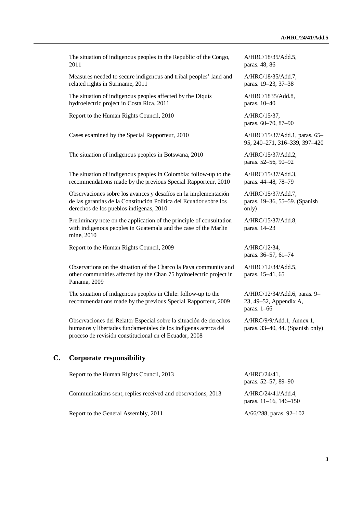The situation of indigenous peoples in the Republic of the Congo, 2011 Measures needed to secure indigenous and tribal peoples' land and related rights in Suriname, 2011 The situation of indigenous peoples affected by the Diquís hydroelectric project in Costa Rica, 2011 Report to the Human Rights Council, 2010 A/HRC/15/37, Cases examined by the Special Rapporteur, 2010 A/HRC/15/37/Add.1, paras. 65– The situation of indigenous peoples in Botswana, 2010 A/HRC/15/37/Add.2, The situation of indigenous peoples in Colombia: follow-up to the recommendations made by the previous Special Rapporteur, 2010 Observaciones sobre los avances y desafíos en la implementación de las garantías de la Constitución Política del Ecuador sobre los derechos de los pueblos indígenas, 2010 Preliminary note on the application of the principle of consultation with indigenous peoples in Guatemala and the case of the Marlin mine, 2010 Report to the Human Rights Council, 2009 A/HRC/12/34, Observations on the situation of the Charco la Pava community and other communities affected by the Chan 75 hydroelectric project in Panama, 2009 The situation of indigenous peoples in Chile: follow-up to the recommendations made by the previous Special Rapporteur, 2009 Observaciones del Relator Especial sobre la situación de derechos humanos y libertades fundamentales de los indígenas acerca del proceso de revisión constitucional en el Ecuador, 2008 **C. Corporate responsibility** Report to the Human Rights Council, 2013 A/HRC/24/41,

Communications sent, replies received and observations, 2013 A/HRC/24/41/Add.4,

Report to the General Assembly, 2011  $A/66/288$ , paras. 92–102

A/HRC/18/35/Add.5, paras. 48, 86

A/HRC/18/35/Add.7, paras. 19–23, 37–38

A/HRC/1835/Add.8, paras. 10–40

paras. 60–70, 87–90

95, 240–271, 316–339, 397–420

paras. 52–56, 90–92

A/HRC/15/37/Add.3, paras. 44–48, 78–79

A/HRC/15/37/Add.7, paras. 19–36, 55–59. (Spanish only)

A/HRC/15/37/Add.8, paras. 14–23

paras. 36–57, 61–74

A/HRC/12/34/Add.5, paras. 15–41, 65

A/HRC/12/34/Add.6, paras. 9– 23, 49–52, Appendix A, paras. 1–66

A/HRC/9/9/Add.1, Annex 1, paras. 33–40, 44. (Spanish only)

paras. 52–57, 89–90

paras. 11–16, 146–150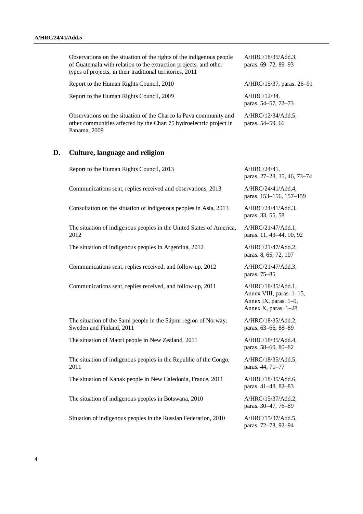Observations on the situation of the rights of the indigenous people of Guatemala with relation to the extraction projects, and other types of projects, in their traditional territories, 2011 Report to the Human Rights Council, 2010 A/HRC/15/37, paras. 26–91 Report to the Human Rights Council, 2009 A/HRC/12/34, Observations on the situation of the Charco la Pava community and other communities affected by the Chan 75 hydroelectric project in Panama, 2009 A/HRC/12/34/Add.5, paras. 54–59, 66 **D. Culture, language and religion**  Report to the Human Rights Council, 2013 A/HRC/24/41,

Communications sent, replies received and observations, 2013 A/HRC/24/41/Add.4,

Consultation on the situation of indigenous peoples in Asia, 2013 A/HRC/24/41/Add.3,

The situation of indigenous peoples in the United States of America, 2012

The situation of indigenous peoples in Argentina, 2012 A/HRC/21/47/Add.2,

Communications sent, replies received, and follow-up, 2012 A/HRC/21/47/Add.3,

Communications sent, replies received, and follow-up, 2011 A/HRC/18/35/Add.1,

The situation of the Sami people in the Sápmi region of Norway, Sweden and Finland, 2011

The situation of Maori people in New Zealand, 2011 A/HRC/18/35/Add.4,

The situation of indigenous peoples in the Republic of the Congo, 2011

The situation of Kanak people in New Caledonia, France, 2011 A/HRC/18/35/Add.6,

The situation of indigenous peoples in Botswana, 2010 A/HRC/15/37/Add.2,

Situation of indigenous peoples in the Russian Federation, 2010  $A/HRC/15/37/Add.5$ ,

A/HRC/18/35/Add.3, paras. 69–72, 89–93

paras. 54–57, 72–73

paras. 27–28, 35, 46, 73–74

paras. 153–156, 157–159

paras. 33, 55, 58

A/HRC/21/47/Add.1, paras. 11, 43–44, 90, 92

paras. 8, 65, 72, 107

paras. 75–85

Annex VIII, paras. 1–15, Annex IX, paras. 1–9, Annex X, paras. 1–28

A/HRC/18/35/Add.2, paras. 63–66, 88–89

paras. 58–60, 80–82

A/HRC/18/35/Add.5, paras. 44, 71–77

paras. 41–48, 82–83

paras. 30–47, 76–89

paras. 72–73, 92–94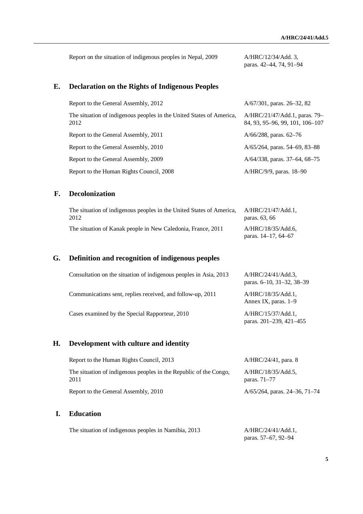Report on the situation of indigenous peoples in Nepal, 2009 A/HRC/12/34/Add. 3, paras. 42–44, 74, 91–94

## **E. Declaration on the Rights of Indigenous Peoples**

| Report to the General Assembly, 2012                                         | $A/67/301$ , paras. 26–32, 82                                    |
|------------------------------------------------------------------------------|------------------------------------------------------------------|
| The situation of indigenous peoples in the United States of America,<br>2012 | A/HRC/21/47/Add.1, paras. 79–<br>84, 93, 95–96, 99, 101, 106–107 |
| Report to the General Assembly, 2011                                         | $A/66/288$ , paras. 62–76                                        |
| Report to the General Assembly, 2010                                         | A/65/264, paras. 54–69, 83–88                                    |
| Report to the General Assembly, 2009                                         | $A/64/338$ , paras. 37–64, 68–75                                 |
| Report to the Human Rights Council, 2008                                     | A/HRC/9/9, paras. 18-90                                          |

## **F. Decolonization**

| The situation of indigenous peoples in the United States of America, | A/HRC/21/47/Add.1.                             |
|----------------------------------------------------------------------|------------------------------------------------|
| 2012                                                                 | paras. 63, 66                                  |
| The situation of Kanak people in New Caledonia, France, 2011         | A/HRC/18/35/Add.6.<br>paras. $14-17$ , $64-67$ |

# **G. Definition and recognition of indigenous peoples**

| Consultation on the situation of indigenous peoples in Asia, 2013 | $A/HRC/24/41/Add.3$ .<br>paras. 6–10, 31–32, 38–39 |
|-------------------------------------------------------------------|----------------------------------------------------|
| Communications sent, replies received, and follow-up, 2011        | $A/HRC/18/35/Add.1$ ,<br>Annex IX, paras. 1–9      |
| Cases examined by the Special Rapporteur, 2010                    | $A/HRC/15/37/Add.1$ ,<br>paras. 201-239, 421-455   |

## **H. Development with culture and identity**

| Report to the Human Rights Council, 2013                                  | $A/HRC/24/41$ , para. 8            |
|---------------------------------------------------------------------------|------------------------------------|
| The situation of indigenous peoples in the Republic of the Congo,<br>2011 | A/HRC/18/35/Add.5,<br>paras. 71–77 |
| Report to the General Assembly, 2010                                      | $A/65/264$ , paras. 24–36, 71–74   |

## **I. Education**

The situation of indigenous peoples in Namibia, 2013 A/HRC/24/41/Add.1, paras. 57–67, 92–94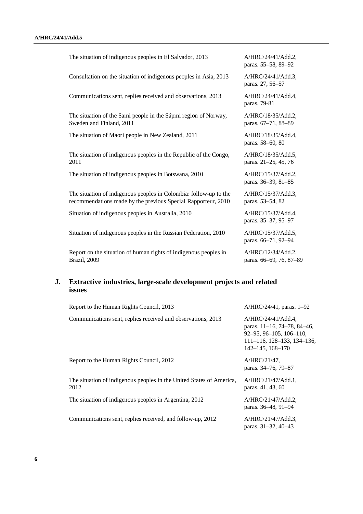| The situation of indigenous peoples in El Salvador, 2013                                                                           | A/HRC/24/41/Add.2,<br>paras. 55-58, 89-92     |
|------------------------------------------------------------------------------------------------------------------------------------|-----------------------------------------------|
| Consultation on the situation of indigenous peoples in Asia, 2013                                                                  | A/HRC/24/41/Add.3,<br>paras. 27, 56-57        |
| Communications sent, replies received and observations, 2013                                                                       | A/HRC/24/41/Add.4,<br>paras. 79-81            |
| The situation of the Sami people in the Sápmi region of Norway,<br>Sweden and Finland, 2011                                        | A/HRC/18/35/Add.2,<br>paras. 67-71, 88-89     |
| The situation of Maori people in New Zealand, 2011                                                                                 | A/HRC/18/35/Add.4,<br>paras. 58-60, 80        |
| The situation of indigenous peoples in the Republic of the Congo,<br>2011                                                          | A/HRC/18/35/Add.5,<br>paras. 21–25, 45, 76    |
| The situation of indigenous peoples in Botswana, 2010                                                                              | A/HRC/15/37/Add.2,<br>paras. 36-39, 81-85     |
| The situation of indigenous peoples in Colombia: follow-up to the<br>recommendations made by the previous Special Rapporteur, 2010 | A/HRC/15/37/Add.3,<br>paras. 53–54, 82        |
| Situation of indigenous peoples in Australia, 2010                                                                                 | A/HRC/15/37/Add.4,<br>paras. 35-37, 95-97     |
| Situation of indigenous peoples in the Russian Federation, 2010                                                                    | A/HRC/15/37/Add.5,<br>paras. 66-71, 92-94     |
| Report on the situation of human rights of indigenous peoples in<br>Brazil, 2009                                                   | A/HRC/12/34/Add.2,<br>paras. 66-69, 76, 87-89 |

# **J. Extractive industries, large-scale development projects and related issues**

| Report to the Human Rights Council, 2013                                     | $A/HRC/24/41$ , paras. 1–92                                                                                                                                    |
|------------------------------------------------------------------------------|----------------------------------------------------------------------------------------------------------------------------------------------------------------|
| Communications sent, replies received and observations, 2013                 | A/HRC/24/41/Add.4,<br>paras. 11–16, 74–78, 84–46,<br>$92 - 95, 96 - 105, 106 - 110,$<br>$111 - 116$ , $128 - 133$ , $134 - 136$ ,<br>$142 - 145$ , $168 - 170$ |
| Report to the Human Rights Council, 2012                                     | A/HRC/21/47,<br>paras. 34–76, 79–87                                                                                                                            |
| The situation of indigenous peoples in the United States of America,<br>2012 | $A/HRC/21/47/Add.1$ ,<br>paras. 41, 43, 60                                                                                                                     |
| The situation of indigenous peoples in Argentina, 2012                       | A/HRC/21/47/Add.2,<br>paras. 36–48, 91–94                                                                                                                      |
| Communications sent, replies received, and follow-up, 2012                   | A/HRC/21/47/Add.3<br>paras. 31–32, 40–43                                                                                                                       |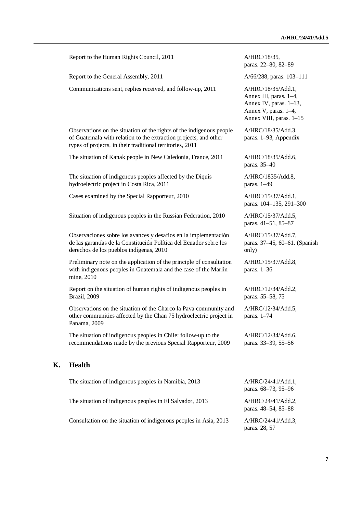Report to the Human Rights Council, 2011 A/HRC/18/35, paras. 22–80, 82–89 Report to the General Assembly, 2011 A/66/288, paras. 103–111 Communications sent, replies received, and follow-up, 2011 A/HRC/18/35/Add.1, Annex III, paras. 1–4, Annex IV, paras. 1–13, Annex V, paras. 1–4, Annex VIII, paras. 1–15 Observations on the situation of the rights of the indigenous people of Guatemala with relation to the extraction projects, and other types of projects, in their traditional territories, 2011 A/HRC/18/35/Add.3, paras. 1–93, Appendix The situation of Kanak people in New Caledonia, France, 2011 A/HRC/18/35/Add.6, paras. 35–40 The situation of indigenous peoples affected by the Diquís hydroelectric project in Costa Rica, 2011 A/HRC/1835/Add.8, paras. 1–49 Cases examined by the Special Rapporteur, 2010 A/HRC/15/37/Add.1, paras. 104–135, 291–300 Situation of indigenous peoples in the Russian Federation, 2010 A/HRC/15/37/Add.5, paras. 41–51, 85–87 Observaciones sobre los avances y desafíos en la implementación de las garantías de la Constitución Política del Ecuador sobre los derechos de los pueblos indígenas, 2010 A/HRC/15/37/Add.7, only) Preliminary note on the application of the principle of consultation with indigenous peoples in Guatemala and the case of the Marlin mine, 2010 A/HRC/15/37/Add.8, paras. 1–36 Report on the situation of human rights of indigenous peoples in Brazil, 2009 A/HRC/12/34/Add.2, paras. 55–58, 75 Observations on the situation of the Charco la Pava community and other communities affected by the Chan 75 hydroelectric project in Panama, 2009 A/HRC/12/34/Add.5, paras. 1–74 The situation of indigenous peoples in Chile: follow-up to the recommendations made by the previous Special Rapporteur, 2009 A/HRC/12/34/Add.6, paras. 33–39, 55–56 **K. Health**  The situation of indigenous peoples in Namibia, 2013 A/HRC/24/41/Add.1, paras. 68–73, 95–96 The situation of indigenous peoples in El Salvador, 2013 A/HRC/24/41/Add.2,

Consultation on the situation of indigenous peoples in Asia, 2013 A/HRC/24/41/Add.3,

paras. 37–45, 60–61. (Spanish

paras. 48–54, 85–88

paras. 28, 57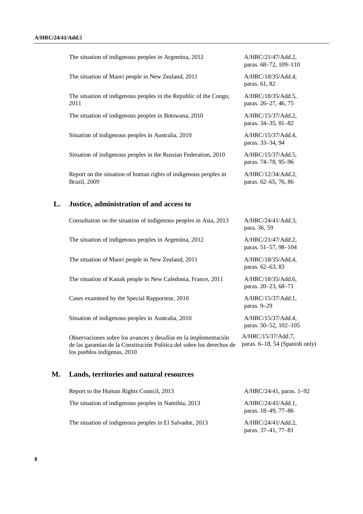The situation of indigenous peoples in Argentina, 2012 A/HRC/21/47/Add.2, paras. 68–72, 109–110 The situation of Maori people in New Zealand, 2011 A/HRC/18/35/Add.4, paras. 61, 82 The situation of indigenous peoples in the Republic of the Congo, 2011 A/HRC/18/35/Add.5, paras. 26–27, 46, 75 The situation of indigenous peoples in Botswana, 2010 A/HRC/15/37/Add.2, paras. 34–35, 81–82 Situation of indigenous peoples in Australia, 2010  $A/HRC/15/37/Add.4$ , paras. 33–34, 94 Situation of indigenous peoples in the Russian Federation, 2010 A/HRC/15/37/Add.5, paras. 74–78, 95–96 Report on the situation of human rights of indigenous peoples in Brazil, 2009 A/HRC/12/34/Add.2, paras. 62–65, 76, 86 **L. Justice, administration of and access to**  Consultation on the situation of indigenous peoples in Asia, 2013 A/HRC/24/41/Add.3, para. 36, 59 The situation of indigenous peoples in Argentina, 2012 A/HRC/21/47/Add.2, paras. 51–57, 98–104 The situation of Maori people in New Zealand, 2011 A/HRC/18/35/Add.4, paras. 62–63, 83 The situation of Kanak people in New Caledonia, France, 2011 A/HRC/18/35/Add.6, paras. 20–23, 68–71 Cases examined by the Special Rapporteur, 2010 A/HRC/15/37/Add.1, paras. 9–29 Situation of indigenous peoples in Australia, 2010  $A/HRC/15/37/Add.4$ , paras. 50–52, 102–105 Observaciones sobre los avances y desafíos en la implementación de las garantías de la Constitución Política del sobre los derechos de los pueblos indígenas, 2010 A/HRC/15/37/Add.7, paras. 6–18, 54 (Spanish only) **M. Lands, territories and natural resources**  Report to the Human Rights Council, 2013 A/HRC/24/41, paras. 1–92 The situation of indigenous peoples in Namibia, 2013 A/HRC/24/41/Add.1,

The situation of indigenous peoples in El Salvador, 2013 A/HRC/24/41/Add.2,

paras. 18–49, 77–86

paras. 37–41, 77–81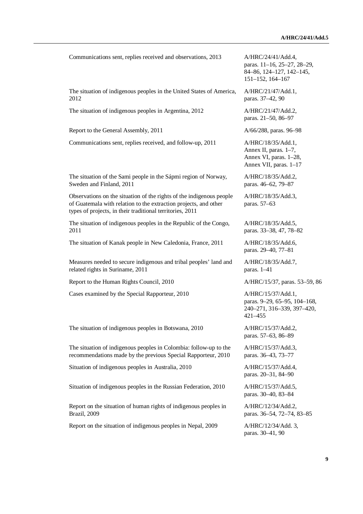Communications sent, replies received and observations, 2013 A/HRC/24/41/Add.4,

The situation of indigenous peoples in the United States of America, 2012

The situation of indigenous peoples in Argentina, 2012 A/HRC/21/47/Add.2,

Report to the General Assembly, 2011 A/66/288, paras. 96–98

Communications sent, replies received, and follow-up, 2011 A/HRC/18/35/Add.1,

The situation of the Sami people in the Sápmi region of Norway, Sweden and Finland, 2011

Observations on the situation of the rights of the indigenous people of Guatemala with relation to the extraction projects, and other types of projects, in their traditional territories, 2011

The situation of indigenous peoples in the Republic of the Congo, 2011

The situation of Kanak people in New Caledonia, France, 2011 A/HRC/18/35/Add.6,

Measures needed to secure indigenous and tribal peoples' land and related rights in Suriname, 2011

Report to the Human Rights Council, 2010 A/HRC/15/37, paras. 53–59, 86

Cases examined by the Special Rapporteur, 2010 A/HRC/15/37/Add.1,

The situation of indigenous peoples in Botswana, 2010 A/HRC/15/37/Add.2,

The situation of indigenous peoples in Colombia: follow-up to the recommendations made by the previous Special Rapporteur, 2010

Situation of indigenous peoples in Australia, 2010 A/HRC/15/37/Add.4,

Situation of indigenous peoples in the Russian Federation, 2010 A/HRC/15/37/Add.5,

Report on the situation of human rights of indigenous peoples in Brazil, 2009

Report on the situation of indigenous peoples in Nepal, 2009 A/HRC/12/34/Add. 3,

paras. 11–16, 25–27, 28–29, 84–86, 124–127, 142–145, 151–152, 164–167

A/HRC/21/47/Add.1, paras. 37–42, 90

paras. 21–50, 86–97

Annex II, paras. 1–7, Annex VI, paras. 1–28, Annex VII, paras. 1–17

A/HRC/18/35/Add.2, paras. 46–62, 79–87

A/HRC/18/35/Add.3, paras. 57–63

A/HRC/18/35/Add.5, paras. 33–38, 47, 78–82

paras. 29–40, 77–81

A/HRC/18/35/Add.7, paras. 1–41

paras. 9–29, 65–95, 104–168, 240–271, 316–339, 397–420, 421–455

paras. 57–63, 86–89

A/HRC/15/37/Add.3, paras. 36–43, 73–77

paras. 20–31, 84–90

paras. 30–40, 83–84

A/HRC/12/34/Add.2, paras. 36–54, 72–74, 83–85

paras. 30–41, 90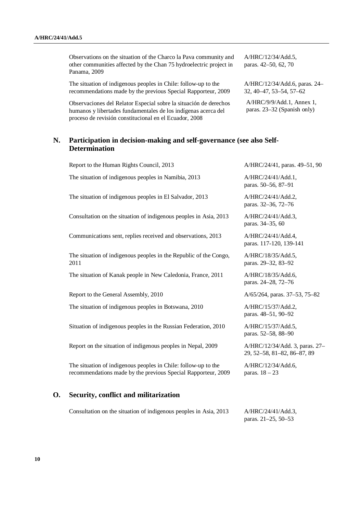Observations on the situation of the Charco la Pava community and other communities affected by the Chan 75 hydroelectric project in Panama, 2009

The situation of indigenous peoples in Chile: follow-up to the recommendations made by the previous Special Rapporteur, 2009

Observaciones del Relator Especial sobre la situación de derechos humanos y libertades fundamentales de los indígenas acerca del proceso de revisión constitucional en el Ecuador, 2008

A/HRC/12/34/Add.5, paras. 42–50, 62, 70

A/HRC/12/34/Add.6, paras. 24– 32, 40–47, 53–54, 57–62

A/HRC/9/9/Add.1, Annex 1, paras. 23–32 (Spanish only)

## **N. Participation in decision-making and self-governance (see also Self-Determination**

| О. | Security, conflict and militarization                                                                                           |                                                               |
|----|---------------------------------------------------------------------------------------------------------------------------------|---------------------------------------------------------------|
|    | The situation of indigenous peoples in Chile: follow-up to the<br>recommendations made by the previous Special Rapporteur, 2009 | A/HRC/12/34/Add.6,<br>paras. $18 - 23$                        |
|    | Report on the situation of indigenous peoples in Nepal, 2009                                                                    | A/HRC/12/34/Add. 3, paras. 27-<br>29, 52-58, 81-82, 86-87, 89 |
|    | Situation of indigenous peoples in the Russian Federation, 2010                                                                 | A/HRC/15/37/Add.5,<br>paras. 52-58, 88-90                     |
|    | The situation of indigenous peoples in Botswana, 2010                                                                           | A/HRC/15/37/Add.2,<br>paras. 48-51, 90-92                     |
|    | Report to the General Assembly, 2010                                                                                            | A/65/264, paras. 37–53, 75–82                                 |
|    | The situation of Kanak people in New Caledonia, France, 2011                                                                    | A/HRC/18/35/Add.6,<br>paras. 24-28, 72-76                     |
|    | The situation of indigenous peoples in the Republic of the Congo,<br>2011                                                       | A/HRC/18/35/Add.5,<br>paras. 29–32, 83–92                     |
|    | Communications sent, replies received and observations, 2013                                                                    | A/HRC/24/41/Add.4,<br>paras. 117-120, 139-141                 |
|    | Consultation on the situation of indigenous peoples in Asia, 2013                                                               | A/HRC/24/41/Add.3,<br>paras. 34-35, 60                        |
|    | The situation of indigenous peoples in El Salvador, 2013                                                                        | A/HRC/24/41/Add.2,<br>paras. 32-36, 72-76                     |
|    | The situation of indigenous peoples in Namibia, 2013                                                                            | A/HRC/24/41/Add.1,<br>paras. 50–56, 87–91                     |
|    | Report to the Human Rights Council, 2013                                                                                        | A/HRC/24/41, paras. 49-51, 90                                 |

Consultation on the situation of indigenous peoples in Asia, 2013 A/HRC/24/41/Add.3, paras. 21–25, 50–53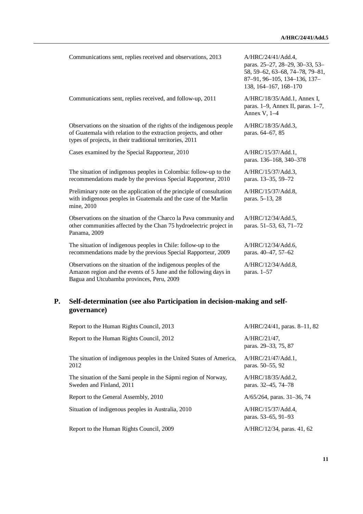Communications sent, replies received and observations, 2013 A/HRC/24/41/Add.4,

Communications sent, replies received, and follow-up, 2011 A/HRC/18/35/Add.1, Annex I,

Observations on the situation of the rights of the indigenous people of Guatemala with relation to the extraction projects, and other types of projects, in their traditional territories, 2011

Cases examined by the Special Rapporteur, 2010 A/HRC/15/37/Add.1,

The situation of indigenous peoples in Colombia: follow-up to the recommendations made by the previous Special Rapporteur, 2010

Preliminary note on the application of the principle of consultation with indigenous peoples in Guatemala and the case of the Marlin mine, 2010

Observations on the situation of the Charco la Pava community and other communities affected by the Chan 75 hydroelectric project in Panama, 2009

The situation of indigenous peoples in Chile: follow-up to the recommendations made by the previous Special Rapporteur, 2009

Observations on the situation of the indigenous peoples of the Amazon region and the events of 5 June and the following days in Bagua and Utcubamba provinces, Peru, 2009

paras. 25–27, 28–29, 30–33, 53– 58, 59–62, 63–68, 74–78, 79–81, 87–91, 96–105, 134–136, 137– 138, 164–167, 168–170

paras. 1–9, Annex II, paras. 1–7, Annex V, 1–4

A/HRC/18/35/Add.3, paras. 64–67, 85

paras. 136–168, 340–378

A/HRC/15/37/Add.3, paras. 13–35, 59–72

A/HRC/15/37/Add.8, paras. 5–13, 28

A/HRC/12/34/Add.5, paras. 51–53, 63, 71–72

A/HRC/12/34/Add.6, paras. 40–47, 57–62

A/HRC/12/34/Add.8, paras. 1–57

## **P. Self-determination (see also Participation in decision-making and selfgovernance)**

| Report to the Human Rights Council, 2013                                                    | A/HRC/24/41, paras. 8-11, 82              |
|---------------------------------------------------------------------------------------------|-------------------------------------------|
| Report to the Human Rights Council, 2012                                                    | A/HRC/21/47,<br>paras. 29–33, 75, 87      |
| The situation of indigenous peoples in the United States of America,<br>2012                | $A/HRC/21/47/Add.1$ ,<br>paras. 50–55, 92 |
| The situation of the Sami people in the Sápmi region of Norway,<br>Sweden and Finland, 2011 | A/HRC/18/35/Add.2,<br>paras. 32–45, 74–78 |
| Report to the General Assembly, 2010                                                        | $A/65/264$ , paras. 31–36, 74             |
| Situation of indigenous peoples in Australia, 2010                                          | A/HRC/15/37/Add.4,<br>paras. 53–65, 91–93 |
| Report to the Human Rights Council, 2009                                                    | A/HRC/12/34, paras. 41, 62                |
|                                                                                             |                                           |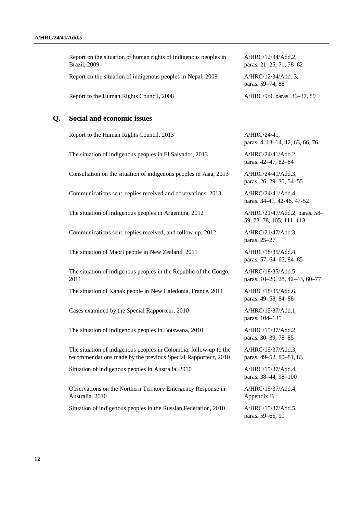Report on the situation of human rights of indigenous peoples in Brazil, 2009 Report on the situation of indigenous peoples in Nepal, 2009 A/HRC/12/34/Add. 3, Report to the Human Rights Council, 2008 A/HRC/9/9, paras. 36–37, 89

### **Q. Social and economic issues**

Report to the Human Rights Council, 2013 A/HRC/24/41,

The situation of indigenous peoples in El Salvador, 2013 A/HRC/24/41/Add.2,

Consultation on the situation of indigenous peoples in Asia, 2013 A/HRC/24/41/Add.3,

Communications sent, replies received and observations, 2013 A/HRC/24/41/Add.4,

The situation of indigenous peoples in Argentina, 2012 A/HRC/21/47/Add.2, paras. 58–

Communications sent, replies received, and follow-up, 2012 A/HRC/21/47/Add.3,

The situation of Maori people in New Zealand, 2011 A/HRC/18/35/Add.4,

The situation of indigenous peoples in the Republic of the Congo, 2011

The situation of Kanak people in New Caledonia, France, 2011 A/HRC/18/35/Add.6,

Cases examined by the Special Rapporteur, 2010 A/HRC/15/37/Add.1,

The situation of indigenous peoples in Botswana, 2010 A/HRC/15/37/Add.2,

The situation of indigenous peoples in Colombia: follow-up to the recommendations made by the previous Special Rapporteur, 2010

Situation of indigenous peoples in Australia, 2010  $A/HRC/15/37/Add.4$ ,

Observations on the Northern Territory Emergency Response in Australia, 2010

Situation of indigenous peoples in the Russian Federation, 2010 A/HRC/15/37/Add.5,

A/HRC/12/34/Add.2, paras. 21–25, 71, 78–82

paras. 59–74, 88

paras. 4, 13–14, 42, 63, 66, 76

paras. 42–47, 82–84

paras. 26, 29–30, 54–55

paras. 34-41, 42-46, 47-52

59, 73–78, 105, 111–113

paras. 25–27

paras. 57, 64–65, 84–85

A/HRC/18/35/Add.5, paras. 10–20, 28, 42–43, 60–77

paras. 49–58, 84–88

paras. 104–135

paras. 30–39, 78–85

A/HRC/15/37/Add.3, paras. 49–52, 80–81, 83

paras. 38–44, 98–100

A/HRC/15/37/Add.4, Appendix B

paras. 59–65, 91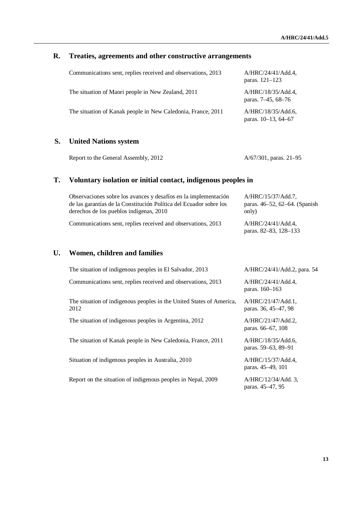## **R. Treaties, agreements and other constructive arrangements**

| Communications sent, replies received and observations, 2013 | A/HRC/24/41/Add.4,<br>paras. 121–123      |
|--------------------------------------------------------------|-------------------------------------------|
| The situation of Maori people in New Zealand, 2011           | A/HRC/18/35/Add.4.<br>paras. 7–45, 68–76  |
| The situation of Kanak people in New Caledonia, France, 2011 | A/HRC/18/35/Add.6,<br>paras. 10-13, 64-67 |

## **S. United Nations system**

Report to the General Assembly, 2012 A/67/301, paras. 21–95

paras. 45–47, 95

### **T. Voluntary isolation or initial contact, indigenous peoples in**

| Observaciones sobre los avances y desafíos en la implementación<br>de las garantías de la Constitución Política del Ecuador sobre los | A/HRC/15/37/Add.7.<br>paras. 46–52, 62–64. (Spanish |
|---------------------------------------------------------------------------------------------------------------------------------------|-----------------------------------------------------|
| derechos de los pueblos indígenas, 2010                                                                                               | only)                                               |
| Communications sent, replies received and observations, 2013                                                                          | A/HRC/24/41/Add.4.<br>paras. 82–83, 128–133         |

# **U. Women, children and families**

| The situation of indigenous peoples in El Salvador, 2013                     | A/HRC/24/41/Add.2, para. 54                   |
|------------------------------------------------------------------------------|-----------------------------------------------|
| Communications sent, replies received and observations, 2013                 | A/HRC/24/41/Add.4<br>paras. 160–163           |
| The situation of indigenous peoples in the United States of America,<br>2012 | $A/HRC/21/47/Add.1$ ,<br>paras. 36, 45–47, 98 |
| The situation of indigenous peoples in Argentina, 2012                       | A/HRC/21/47/Add.2<br>paras. 66–67, 108        |
| The situation of Kanak people in New Caledonia, France, 2011                 | A/HRC/18/35/Add.6,<br>paras. 59–63, 89–91     |
| Situation of indigenous peoples in Australia, 2010                           | A/HRC/15/37/Add.4,<br>paras. 45–49, 101       |
| Report on the situation of indigenous peoples in Nepal, 2009                 | A/HRC/12/34/Add. 3,                           |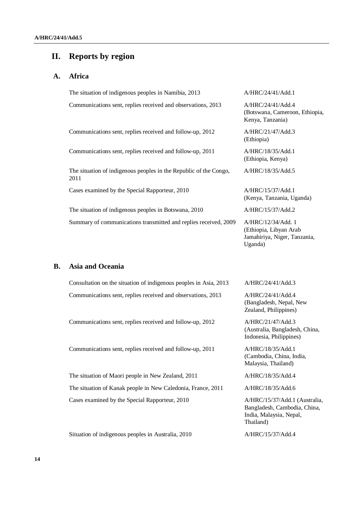## **II. Reports by region**

### **A. Africa**

The situation of indigenous peoples in Namibia, 2013 A/HRC/24/41/Add.1 Communications sent, replies received and observations, 2013 A/HRC/24/41/Add.4 Communications sent, replies received and follow-up, 2012 A/HRC/21/47/Add.3 (Ethiopia) Communications sent, replies received and follow-up, 2011 A/HRC/18/35/Add.1 The situation of indigenous peoples in the Republic of the Congo, 2011 Cases examined by the Special Rapporteur, 2010 A/HRC/15/37/Add.1 The situation of indigenous peoples in Botswana, 2010 A/HRC/15/37/Add.2 Summary of communications transmitted and replies received, 2009 A/HRC/12/34/Add. 1

#### **B. Asia and Oceania**

Consultation on the situation of indigenous peoples in Asia, 2013 A/HRC/24/41/Add.3 Communications sent, replies received and observations, 2013 A/HRC/24/41/Add.4

Communications sent, replies received and follow-up, 2012 A/HRC/21/47/Add.3

Communications sent, replies received and follow-up, 2011 A/HRC/18/35/Add.1

The situation of Maori people in New Zealand, 2011 A/HRC/18/35/Add.4 The situation of Kanak people in New Caledonia, France, 2011 A/HRC/18/35/Add.6 Cases examined by the Special Rapporteur, 2010 A/HRC/15/37/Add.1 (Australia,

Situation of indigenous peoples in Australia, 2010 A/HRC/15/37/Add.4

(Botswana, Cameroon, Ethiopia, Kenya, Tanzania)

(Ethiopia, Kenya)

A/HRC/18/35/Add.5

(Kenya, Tanzania, Uganda)

(Ethiopia, Libyan Arab Jamahiriya, Niger, Tanzania, Uganda)

(Bangladesh, Nepal, New Zealand, Philippines)

(Australia, Bangladesh, China, Indonesia, Philippines)

(Cambodia, China, India, Malaysia, Thailand)

Bangladesh, Cambodia, China, India, Malaysia, Nepal, Thailand)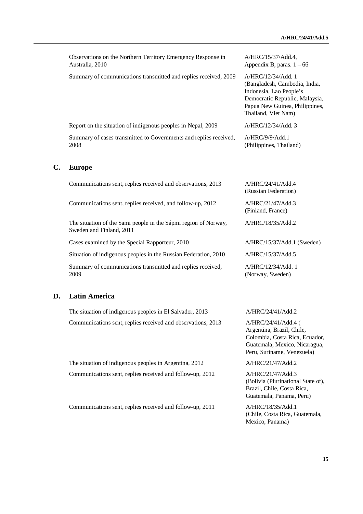Observations on the Northern Territory Emergency Response in Australia, 2010

Summary of communications transmitted and replies received, 2009 A/HRC/12/34/Add. 1

Report on the situation of indigenous peoples in Nepal, 2009 A/HRC/12/34/Add. 3

Summary of cases transmitted to Governments and replies received, 2008

#### **C. Europe**

Communications sent, replies received and observations, 2013 A/HRC/24/41/Add.4

Communications sent, replies received, and follow-up, 2012 A/HRC/21/47/Add.3

The situation of the Sami people in the Sápmi region of Norway, Sweden and Finland, 2011

Cases examined by the Special Rapporteur, 2010 A/HRC/15/37/Add.1 (Sweden)

Situation of indigenous peoples in the Russian Federation, 2010 A/HRC/15/37/Add.5

Summary of communications transmitted and replies received, 2009

#### **D. Latin America**

The situation of indigenous peoples in El Salvador, 2013 A/HRC/24/41/Add.2 Communications sent, replies received and observations, 2013 A/HRC/24/41/Add.4 (

The situation of indigenous peoples in Argentina, 2012 A/HRC/21/47/Add.2 Communications sent, replies received and follow-up, 2012 A/HRC/21/47/Add.3

Communications sent, replies received and follow-up, 2011 A/HRC/18/35/Add.1

A/HRC/15/37/Add.4, Appendix B, paras.  $1 - 66$ 

(Bangladesh, Cambodia, India, Indonesia, Lao People's Democratic Republic, Malaysia, Papua New Guinea, Philippines, Thailand, Viet Nam)

A/HRC/9/9/Add.1 (Philippines, Thailand)

(Russian Federation)

(Finland, France)

A/HRC/18/35/Add.2

A/HRC/12/34/Add. 1 (Norway, Sweden)

Argentina, Brazil, Chile, Colombia, Costa Rica, Ecuador, Guatemala, Mexico, Nicaragua, Peru, Suriname, Venezuela)

(Bolivia (Plurinational State of), Brazil, Chile, Costa Rica, Guatemala, Panama, Peru)

(Chile, Costa Rica, Guatemala, Mexico, Panama)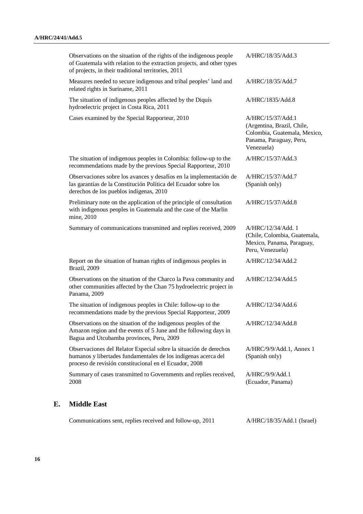|    | Communications sent, replies received and follow-up, 2011                                                                                                                                             | A/HRC/18/35/Add.1 (Israel)                                                                                               |
|----|-------------------------------------------------------------------------------------------------------------------------------------------------------------------------------------------------------|--------------------------------------------------------------------------------------------------------------------------|
| Е. | <b>Middle East</b>                                                                                                                                                                                    |                                                                                                                          |
|    | Summary of cases transmitted to Governments and replies received,<br>2008                                                                                                                             | A/HRC/9/9/Add.1<br>(Ecuador, Panama)                                                                                     |
|    | Observaciones del Relator Especial sobre la situación de derechos<br>humanos y libertades fundamentales de los indígenas acerca del<br>proceso de revisión constitucional en el Ecuador, 2008         | A/HRC/9/9/Add.1, Annex 1<br>(Spanish only)                                                                               |
|    | Observations on the situation of the indigenous peoples of the<br>Amazon region and the events of 5 June and the following days in<br>Bagua and Utcubamba provinces, Peru, 2009                       | A/HRC/12/34/Add.8                                                                                                        |
|    | The situation of indigenous peoples in Chile: follow-up to the<br>recommendations made by the previous Special Rapporteur, 2009                                                                       | A/HRC/12/34/Add.6                                                                                                        |
|    | Observations on the situation of the Charco la Pava community and<br>other communities affected by the Chan 75 hydroelectric project in<br>Panama, 2009                                               | A/HRC/12/34/Add.5                                                                                                        |
|    | Report on the situation of human rights of indigenous peoples in<br>Brazil, 2009                                                                                                                      | A/HRC/12/34/Add.2                                                                                                        |
|    | Summary of communications transmitted and replies received, 2009                                                                                                                                      | A/HRC/12/34/Add. 1<br>(Chile, Colombia, Guatemala,<br>Mexico, Panama, Paraguay,<br>Peru, Venezuela)                      |
|    | Preliminary note on the application of the principle of consultation<br>with indigenous peoples in Guatemala and the case of the Marlin<br>mine, 2010                                                 | A/HRC/15/37/Add.8                                                                                                        |
|    | Observaciones sobre los avances y desafíos en la implementación de<br>las garantías de la Constitución Política del Ecuador sobre los<br>derechos de los pueblos indígenas, 2010                      | A/HRC/15/37/Add.7<br>(Spanish only)                                                                                      |
|    | The situation of indigenous peoples in Colombia: follow-up to the<br>recommendations made by the previous Special Rapporteur, 2010                                                                    | A/HRC/15/37/Add.3                                                                                                        |
|    | Cases examined by the Special Rapporteur, 2010                                                                                                                                                        | A/HRC/15/37/Add.1<br>(Argentina, Brazil, Chile,<br>Colombia, Guatemala, Mexico,<br>Panama, Paraguay, Peru,<br>Venezuela) |
|    | The situation of indigenous peoples affected by the Diquís<br>hydroelectric project in Costa Rica, 2011                                                                                               | A/HRC/1835/Add.8                                                                                                         |
|    | Measures needed to secure indigenous and tribal peoples' land and<br>related rights in Suriname, 2011                                                                                                 | A/HRC/18/35/Add.7                                                                                                        |
|    | Observations on the situation of the rights of the indigenous people<br>of Guatemala with relation to the extraction projects, and other types<br>of projects, in their traditional territories, 2011 | A/HRC/18/35/Add.3                                                                                                        |
|    |                                                                                                                                                                                                       |                                                                                                                          |